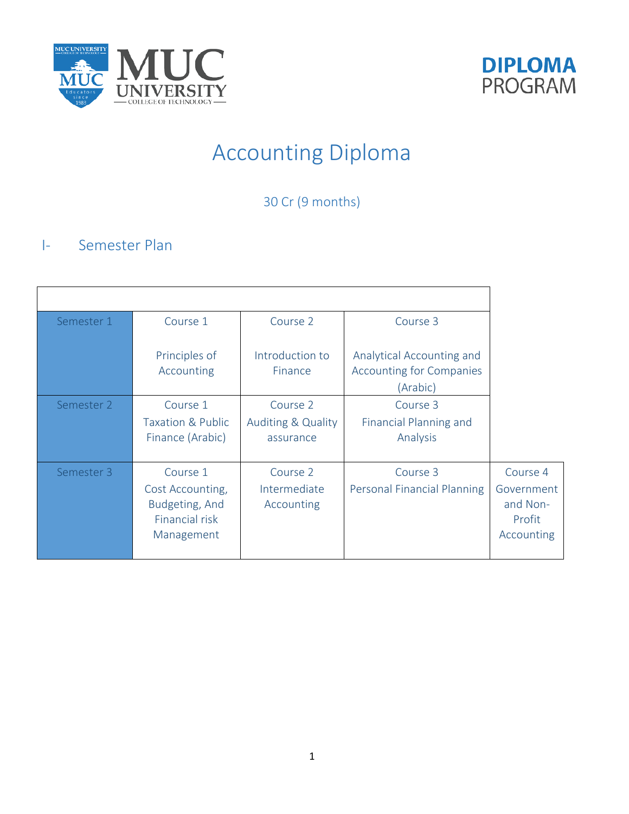



# Accounting Diploma

30 Cr (9 months)

## I- Semester Plan

| Semester 1 | Course 1                                                                       | Course 2                                               | Course 3                                                                 |                                                            |
|------------|--------------------------------------------------------------------------------|--------------------------------------------------------|--------------------------------------------------------------------------|------------------------------------------------------------|
|            | Principles of<br>Accounting                                                    | Introduction to<br>Finance                             | Analytical Accounting and<br><b>Accounting for Companies</b><br>(Arabic) |                                                            |
| Semester 2 | Course 1<br>Taxation & Public<br>Finance (Arabic)                              | Course 2<br><b>Auditing &amp; Quality</b><br>assurance | Course 3<br>Financial Planning and<br>Analysis                           |                                                            |
| Semester 3 | Course 1<br>Cost Accounting,<br>Budgeting, And<br>Financial risk<br>Management | Course 2<br>Intermediate<br>Accounting                 | Course 3<br>Personal Financial Planning                                  | Course 4<br>Government<br>and Non-<br>Profit<br>Accounting |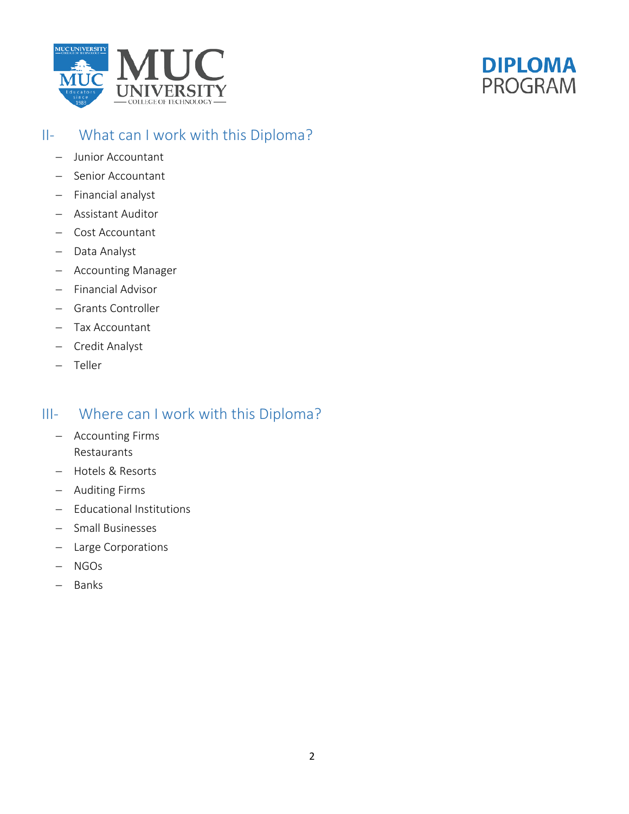



## II- What can I work with this Diploma?

- − Junior Accountant
- − Senior Accountant
- − Financial analyst
- − Assistant Auditor
- − Cost Accountant
- − Data Analyst
- − Accounting Manager
- − Financial Advisor
- − Grants Controller
- − Tax Accountant
- − Credit Analyst
- − Teller

## III- Where can I work with this Diploma?

- − Accounting Firms Restaurants
- − Hotels & Resorts
- − Auditing Firms
- − Educational Institutions
- − Small Businesses
- − Large Corporations
- − NGOs
- − Banks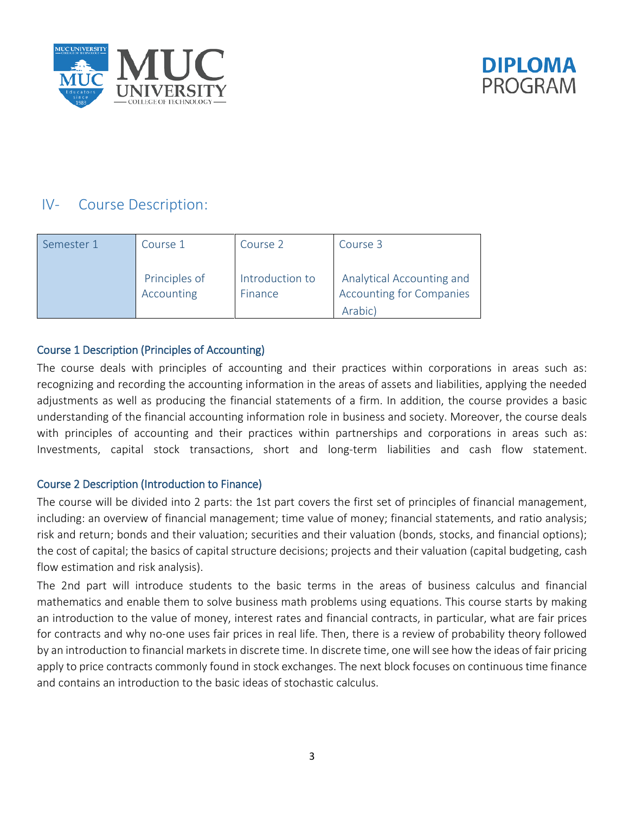



## IV- Course Description:

| Semester 1 | Course 1                    | Course 2                   | Course 3                                                                |
|------------|-----------------------------|----------------------------|-------------------------------------------------------------------------|
|            | Principles of<br>Accounting | Introduction to<br>Finance | Analytical Accounting and<br><b>Accounting for Companies</b><br>Arabic) |

#### Course 1 Description (Principles of Accounting)

The course deals with principles of accounting and their practices within corporations in areas such as: recognizing and recording the accounting information in the areas of assets and liabilities, applying the needed adjustments as well as producing the financial statements of a firm. In addition, the course provides a basic understanding of the financial accounting information role in business and society. Moreover, the course deals with principles of accounting and their practices within partnerships and corporations in areas such as: Investments, capital stock transactions, short and long-term liabilities and cash flow statement.

#### Course 2 Description (Introduction to Finance)

The course will be divided into 2 parts: the 1st part covers the first set of principles of financial management, including: an overview of financial management; time value of money; financial statements, and ratio analysis; risk and return; bonds and their valuation; securities and their valuation (bonds, stocks, and financial options); the cost of capital; the basics of capital structure decisions; projects and their valuation (capital budgeting, cash flow estimation and risk analysis).

The 2nd part will introduce students to the basic terms in the areas of business calculus and financial mathematics and enable them to solve business math problems using equations. This course starts by making an introduction to the value of money, interest rates and financial contracts, in particular, what are fair prices for contracts and why no-one uses fair prices in real life. Then, there is a review of probability theory followed by an introduction to financial markets in discrete time. In discrete time, one will see how the ideas of fair pricing apply to price contracts commonly found in stock exchanges. The next block focuses on continuous time finance and contains an introduction to the basic ideas of stochastic calculus.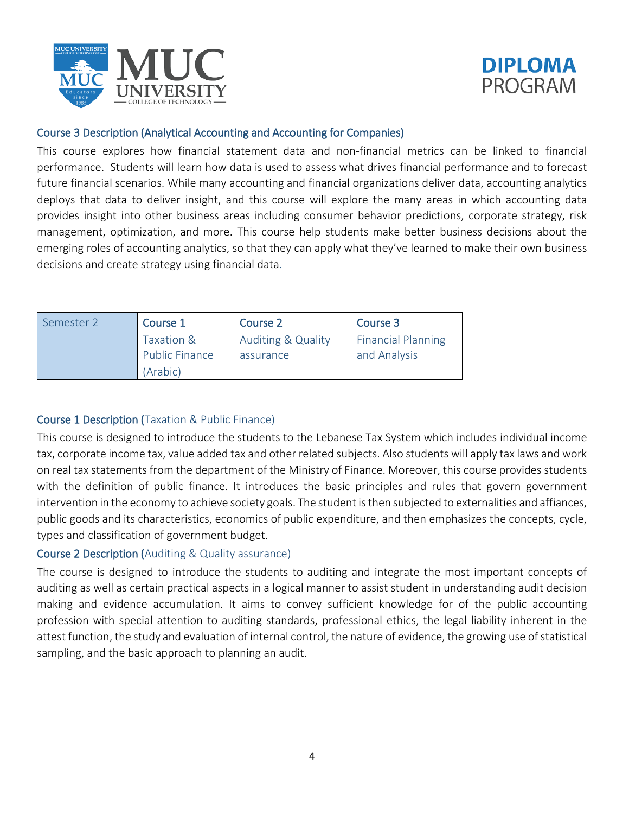



#### Course 3 Description (Analytical Accounting and Accounting for Companies)

This course explores how financial statement data and non-financial metrics can be linked to financial performance. Students will learn how data is used to assess what drives financial performance and to forecast future financial scenarios. While many accounting and financial organizations deliver data, accounting analytics deploys that data to deliver insight, and this course will explore the many areas in which accounting data provides insight into other business areas including consumer behavior predictions, corporate strategy, risk management, optimization, and more. This course help students make better business decisions about the emerging roles of accounting analytics, so that they can apply what they've learned to make their own business decisions and create strategy using financial data.

| Semester 2 | Course 1                                        | Course 2                                   | Course 3                                  |
|------------|-------------------------------------------------|--------------------------------------------|-------------------------------------------|
|            | Taxation &<br><b>Public Finance</b><br>(Arabic) | <b>Auditing &amp; Quality</b><br>assurance | <b>Financial Planning</b><br>and Analysis |

#### Course 1 Description (Taxation & Public Finance)

This course is designed to introduce the students to the Lebanese Tax System which includes individual income tax, corporate income tax, value added tax and other related subjects. Also students will apply tax laws and work on real tax statements from the department of the Ministry of Finance. Moreover, this course provides students with the definition of public finance. It introduces the basic principles and rules that govern government intervention in the economy to achieve society goals. The student is then subjected to externalities and affiances, public goods and its characteristics, economics of public expenditure, and then emphasizes the concepts, cycle, types and classification of government budget.

#### Course 2 Description (Auditing & Quality assurance)

The course is designed to introduce the students to auditing and integrate the most important concepts of auditing as well as certain practical aspects in a logical manner to assist student in understanding audit decision making and evidence accumulation. It aims to convey sufficient knowledge for of the public accounting profession with special attention to auditing standards, professional ethics, the legal liability inherent in the attest function, the study and evaluation of internal control, the nature of evidence, the growing use of statistical sampling, and the basic approach to planning an audit.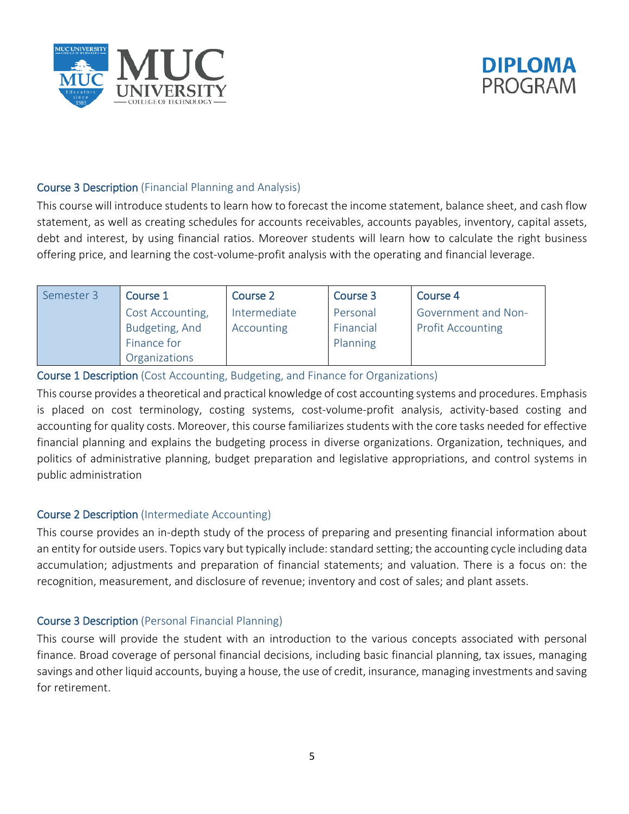



#### Course 3 Description (Financial Planning and Analysis)

This course will introduce students to learn how to forecast the income statement, balance sheet, and cash flow statement, as well as creating schedules for accounts receivables, accounts payables, inventory, capital assets, debt and interest, by using financial ratios. Moreover students will learn how to calculate the right business offering price, and learning the cost-volume-profit analysis with the operating and financial leverage.

| Semester 3 | Course 1         | Course 2     | Course 3  | Course 4                   |
|------------|------------------|--------------|-----------|----------------------------|
|            | Cost Accounting, | Intermediate | Personal  | <b>Government and Non-</b> |
|            | Budgeting, And   | Accounting   | Financial | <b>Profit Accounting</b>   |
|            | Finance for      |              | Planning  |                            |
|            | Organizations    |              |           |                            |

#### Course 1 Description (Cost Accounting, Budgeting, and Finance for Organizations)

This course provides a theoretical and practical knowledge of cost accounting systems and procedures. Emphasis is placed on cost terminology, costing systems, cost-volume-profit analysis, activity-based costing and accounting for quality costs. Moreover, this course familiarizes students with the core tasks needed for effective financial planning and explains the budgeting process in diverse organizations. Organization, techniques, and politics of administrative planning, budget preparation and legislative appropriations, and control systems in public administration

#### Course 2 Description (Intermediate Accounting)

This course provides an in-depth study of the process of preparing and presenting financial information about an entity for outside users. Topics vary but typically include: standard setting; the accounting cycle including data accumulation; adjustments and preparation of financial statements; and valuation. There is a focus on: the recognition, measurement, and disclosure of revenue; inventory and cost of sales; and plant assets.

#### Course 3 Description (Personal Financial Planning)

This course will provide the student with an introduction to the various concepts associated with personal finance. Broad coverage of personal financial decisions, including basic financial planning, tax issues, managing savings and other liquid accounts, buying a house, the use of credit, insurance, managing investments and saving for retirement.